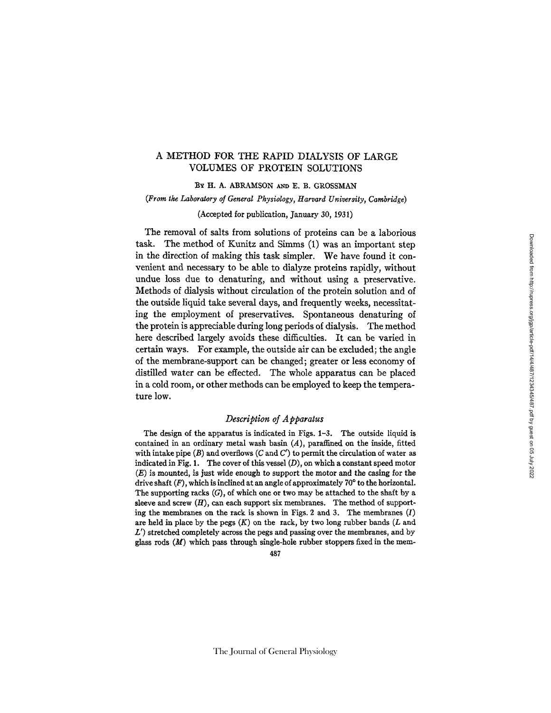## A METHOD FOR THE RAPID DIALYSIS OF LARGE VOLUMES OF PROTEIN SOLUTIONS

BY H. A. ABRAMSON AND E. B. GROSSMAN

*(From the Laboratory of General Physiology, Harvard University, Cambridge)* 

(Accepted for publication, January 30, 1931)

The removal of salts from solutions of proteins can be a laborious task. The method of Kunitz and Simms (1) was an important step in the direction of making this task simpler. We have found it convenient and necessary to be able to dialyze proteins rapidly, without undue loss due to denaturing, and without using a preservative. Methods of dialysis without circulation of the protein solution and of the outside liquid take several days, and frequently weeks, necessitating the employment of preservatives. Spontaneous denaturing of the protein is appreciable during long periods of dialysis. The method here described largely avoids these difficulties. It can be varied in certain ways. For example, the outside air can be excluded; the angle of the membrane-support can be changed; greater or less economy of distilled water can be effected. The whole apparatus can be placed in a cold room, or other methods can be employed to keep the temperature low.

## *Description of Apparatus*

The design of the apparatus is indicated in Figs. 1-3. The outside liquid is contained in an ordinary metal wash basin  $(A)$ , paraffined on the inside, fitted with intake pipe (B) and overflows (C and C') to permit the circulation of water as indicated in Fig. 1. The cover of this vessel  $(D)$ , on which a constant speed motor  $(E)$  is mounted, is just wide enough to support the motor and the casing for the drive shaft  $(F)$ , which is inclined at an angle of approximately 70 $\degree$  to the horizontal. The supporting racks  $(G)$ , of which one or two may be attached to the shaft by a sleeve and screw  $(H)$ , can each support six membranes. The method of supporting the membranes on the rack is shown in Figs. 2 and 3. The membranes  $(I)$ are held in place by the pegs  $(K)$  on the rack, by two long rubber bands (L and  $L'$ ) stretched completely across the pegs and passing over the membranes, and by glass rods  $(M)$  which pass through single-hole rubber stoppers fixed in the mem-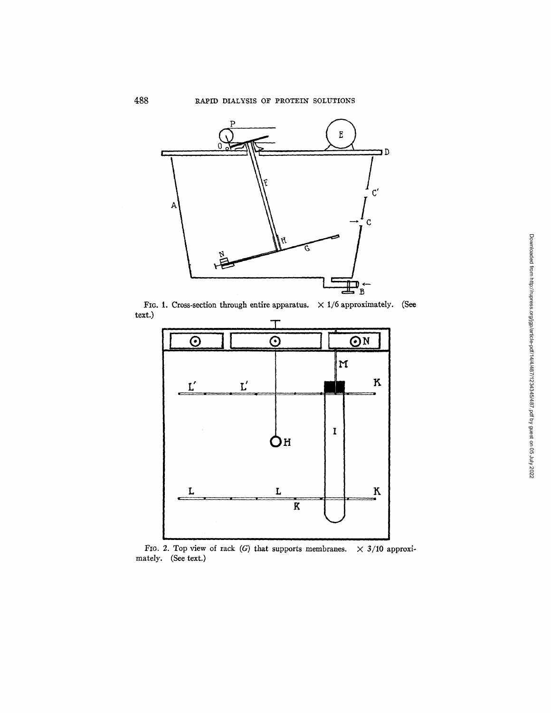

FIG. 1. Cross-section through entire apparatus.  $\times$  1/6 approximately. (See text.)



FIG. 2. Top view of rack (G) that supports membranes.  $\times$  3/10 approximately. (See text.)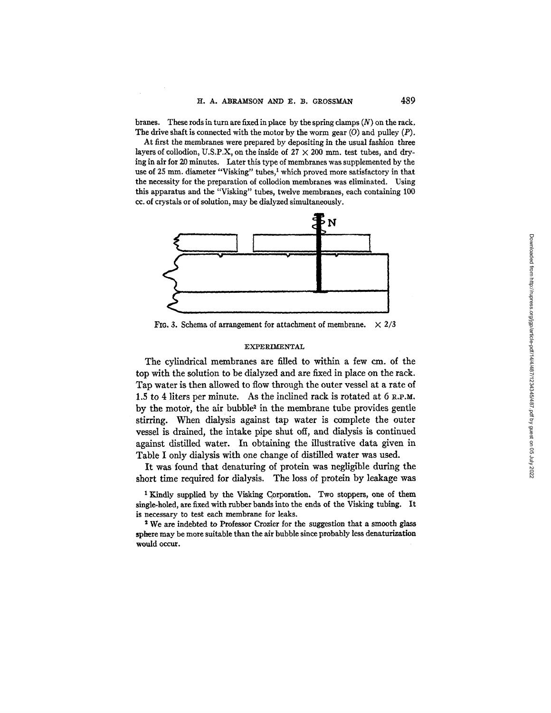branes. These rods in turn are fixed in place by the spring clamps  $(N)$  on the rack. The drive shaft is connected with the motor by the worm gear  $(0)$  and pulley  $(P)$ .

At first the membranes were prepared by depositing in the usual fashion three layers of collodion, U.S.P.X, on the inside of  $27 \times 200$  mm, test tubes, and drying in air for 20 minutes. Later this type of membranes was supplemented by the use of 25 mm. diameter "Visking" tubes,<sup>1</sup> which proved more satisfactory in that the necessity for the preparation of collodion membranes was eliminated. Using this apparatus and the "Visking" tubes, twelve membranes, each containing 100 cc. of crystals or of solution, may be dialyzed simultaneously.



FIG. 3. Schema of arrangement for attachment of membrane.  $\times 2/3$ 

#### EXPERIMENTAL

The cylindrical membranes are filled to within a few cm. of the top with the solution to be dialyzed and are fixed in place on the rack. Tap water is then allowed to flow through the outer vessel at a rate of 1.5 to 4 liters per minute. As the inclined rack is rotated at 6 R.P.M. by the motor, the air bubble<sup>2</sup> in the membrane tube provides gentle stirring. When dialysis against tap water is complete the outer vessel is drained, the intake pipe shut off, and dialysis is continued against distilled water. In obtaining the illustrative data given in Table I only dialysis with one change of distilled water was used.

It was found that denaturing of protein was negligible during the short time required for dialysis. The loss of protein by leakage was

<sup>1</sup> Kindly supplied by the Visking Corporation. Two stoppers, one of them single-holed, are fixed with rubber bands into the ends of the Visking tubing. It is necessary to test each membrane for leaks.

<sup>2</sup> We are indebted to Professor Crozier for the suggestion that a smooth glass sphere may be more suitable than the air bubble since probably less denaturization would occur.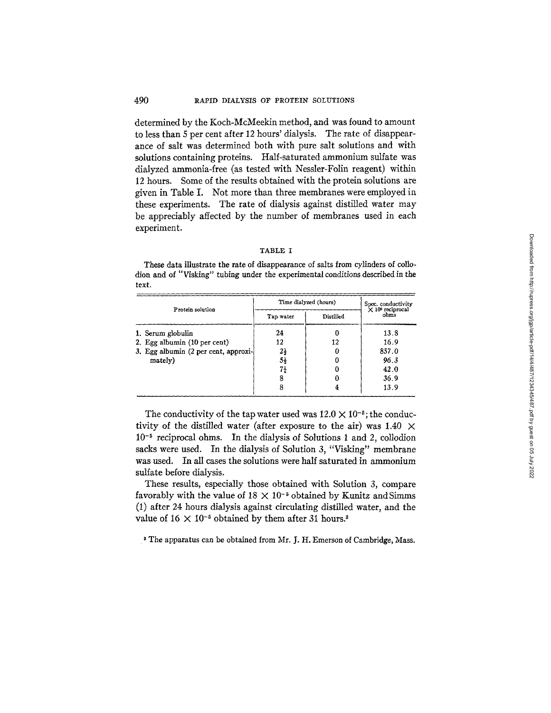#### 490 RAPID DIALYSIS OF PROTEIN SOLUTIONS

determined by the Koch-McMeekin method, and was found to amount to less than 5 per cent after 12 hours' dialysis. The rate of disappearance of salt was determined both with pure salt solutions and with solutions containing proteins. Half-saturated ammonium sulfate was dialyzed ammonia-free (as tested with Nessler-Folin reagent) within 12 hours. Some of the results obtained with the protein solutions are given in Table I. Not more than three membranes were employed in these experiments. The rate of dialysis against distilled water may be appreciably affected by the number of membranes used in each experiment.

#### TABLE I

These data illustrate the rate of disappearance of salts from cylinders of collodion and of "Visking" tubing under the experimental conditions described in the text.

| Protein solution                     | Time dialyzed (hours) |                  | Spec. conductivity<br>X 10 <sup>5</sup> reciprocal |
|--------------------------------------|-----------------------|------------------|----------------------------------------------------|
|                                      | Tap water             | <b>Distilled</b> | ohms                                               |
| 1. Serum globulin                    | 24                    |                  | 13.8                                               |
| 2. Egg albumin (10 per cent)         | 12                    | 12               | 16.9                                               |
| 3. Egg albumin (2 per cent, approxi- | $2\frac{1}{2}$        |                  | 857.0                                              |
| mately)                              | 54                    |                  | 96.3                                               |
|                                      | 71                    |                  | 42.0                                               |
|                                      |                       |                  | 36.9                                               |
|                                      |                       |                  | 13.9                                               |

The conductivity of the tap water used was  $12.0 \times 10^{-5}$ ; the conductivity of the distilled water (after exposure to the air) was 1.40  $\times$  $10<sup>-5</sup>$  reciprocal ohms. In the dialysis of Solutions 1 and 2, collodion sacks were used. In the dialysis of Solution 3, "Visking" membrane was used. In all cases the solutions were half saturated in ammonium sulfate before dialysis.

These results, especially those obtained with Solution 3, compare favorably with the value of  $18 \times 10^{-5}$  obtained by Kunitz and Simms (1) after 24 hours dialysis against circulating distilled water, and the value of  $16 \times 10^{-5}$  obtained by them after 31 hours.<sup>3</sup>

<sup>a</sup> The apparatus can be obtained from Mr. J. H. Emerson of Cambridge, Mass.